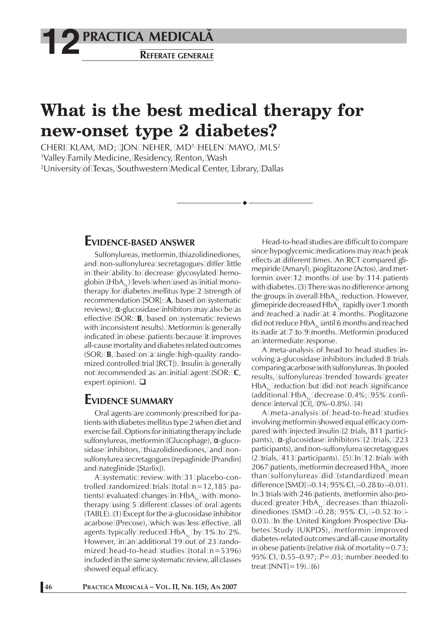**PRACTICA MEDICALÅ 12 REFERATE GENERALE**

# **What is the best medical therapy for new-onset type 2 diabetes?**

CHERI KLAM, MD; JON NEHER, MD<sup>1,</sup> HELEN MAYO, MLS<sup>2</sup> 1 Valley Family Medicine, Residency, Renton, Wash 2 University of Texas, Southwestern Medical Center, Library, Dallas

## **EVIDENCE-BASED ANSWER**

Sulfonylureas, metformin, thiazolidinediones, and non-sulfonylurea secretagogues differ little in their ability to decrease glycosylated hemoglobin (HbA<sub>1c</sub>) levels when used as initial monotherapy for diabetes mellitus type 2 (strength of recommendation [SOR]: **A**, based on systematic reviews);  $α$ -glucosidase inhibitors may also be as effective (SOR: **B**, based on systematic reviews with inconsistent results). Metformin is generally indicated in obese patients because it improves all-cause mortality and diabetes related outcomes (SOR: **B**, based on a single high-quality randomized controlled trial [RCT]). Insulin is generally not recommended as an initial agent (SOR: **C**, expert opinion).  $\square$ 

## **EVIDENCE SUMMARY**

Oral agents are commonly prescribed for patients with diabetes mellitus type 2 when diet and exercise fail. Options for initiating therapy include sulfonylureas, metformin (Glucophage), α-glucosidase inhibitors, thiazolidinediones, and nonsulfonylurea secretagogues (repaglinide [Prandin] and nateglinide [Starlix]).

A systematic review with 31 placebo-controlled randomized trials (total n=12,185 patients) evaluated changes in  $HbA_{1c}$  with monotherapy using 5 different classes of oral agents (TABLE). (1) Except for the a-glucosidase inhibitor acarbose (Precose), which was less effective, all agents typically reduced HbA<sub>1c</sub> by 1% to 2%. However, in an additional 19 out of 23 randomized head-to-head studies (total n=5396) included in the same systematic review, all classes showed equal efficacy.

Head-to-head studies are difficult to compare since hypoglycemic medications may reach peak effects at different times. An RCT compared glimepiride (Amaryl), pioglitazone (Actos), and metformin over 12 months of use by 114 patients with diabetes. (3) There was no difference among the groups in overall  $HbA_{1c}$  reduction. However, glimepiride decreased  $HbA_{1c}$  rapidly over 1 month and reached a nadir at 4 months. Pioglitazone did not reduce  $HbA_{1c}$  until 6 months and reached its nadir at 7 to 9 months. Metformin produced an intermediate response.

A meta-analysis of head to head studies involving a-glucosidase inhibitors included 8 trials comparing acarbose with sulfonylureas. In pooled results, sulfonylureas trended towards greater  $HbA_{1c}$  reduction but did not reach significance (additional HbA<sub>1c</sub> decrease 0.4%; 95% confidence interval [CI], 0%–0.8%). (4)

A meta-analysis of head-to-head studies involving metformin showed equal efficacy compared with injected insulin (2 trials, 811 participants), α-glucosidase inhibitors (2 trials, 223 participants), and non-sulfonylurea secretagogues (2 trials, 413 participants). (5) In 12 trials with 2067 patients, metformin decreased  $HbA_{1c}$  more than sulfonylureas did (standardized mean difference [SMD] –0.14; 95% CI, –0.28 to –0.01). In 3 trials with 246 patients, metformin also produced greater  $HbA_{1c}$  decreases than thiazolidinediones (SMD  $-0.28$ ; 95% CI,  $-0.52$  to  $-$ 0.03). In the United Kingdom Prospective Diabetes Study (UKPDS), metformin improved diabetes-related outcomes and all-cause mortality in obese patients (relative risk of mortality= $0.73$ ; 95% CI, 0.55–0.97; *P*=.03; number needed to treat [NNT]=19). (6)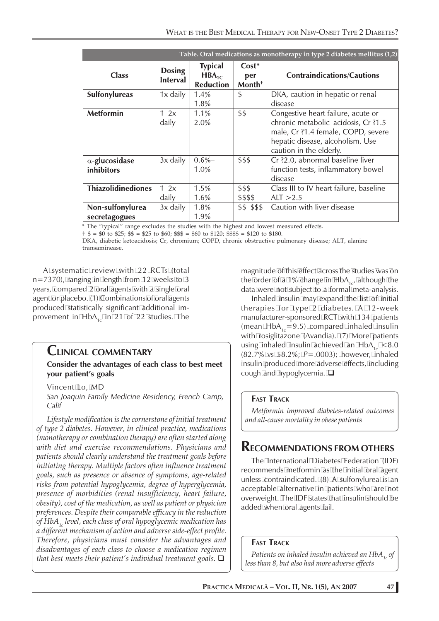| Table. Oral medications as monotherapy in type 2 diabetes mellitus (1,2) |                                  |                                                  |                                      |                                                                                                                                                                                |
|--------------------------------------------------------------------------|----------------------------------|--------------------------------------------------|--------------------------------------|--------------------------------------------------------------------------------------------------------------------------------------------------------------------------------|
| <b>Class</b>                                                             | <b>Dosing</b><br><b>Interval</b> | <b>Typical</b><br>$HBA_{1C}$<br><b>Reduction</b> | $Cost*$<br>per<br>Month <sup>+</sup> | Contraindications/Cautions                                                                                                                                                     |
| Sulfonylureas                                                            | $1x$ daily                       | $1.4% -$                                         | \$                                   | DKA, caution in hepatic or renal                                                                                                                                               |
|                                                                          |                                  | 1.8%                                             |                                      | disease                                                                                                                                                                        |
| <b>Metformin</b>                                                         | $1-2x$<br>daily                  | $1.1% -$<br>2.0%                                 | \$\$                                 | Congestive heart failure, acute or<br>chronic metabolic acidosis, Cr ?1.5<br>male, Cr ?1.4 female, COPD, severe<br>hepatic disease, alcoholism. Use<br>caution in the elderly. |
| $\alpha$ -glucosidase                                                    | $3x$ daily                       | $0.6% -$                                         | \$\$\$                               | Cr ?2.0, abnormal baseline liver                                                                                                                                               |
| inhibitors                                                               |                                  | 1.0%                                             |                                      | function tests, inflammatory bowel                                                                                                                                             |
|                                                                          |                                  |                                                  |                                      | disease                                                                                                                                                                        |
| <b>Thiazolidinediones</b>                                                | $1-2x$                           | $1.5% -$                                         | $$55 -$                              | Class III to IV heart failure, baseline                                                                                                                                        |
|                                                                          | daily                            | $1.6\%$                                          | \$\$\$\$                             | ALT > 2.5                                                                                                                                                                      |
| Non-sulfonylurea                                                         | 3x daily                         | $1.8% -$                                         | $$5 - $55$                           | Caution with liver disease                                                                                                                                                     |
| secretagogues                                                            |                                  | 1.9%                                             |                                      |                                                                                                                                                                                |

\* The "typical" range excludes the studies with the highest and lowest measured effects.

 $\pm$  \$ = \$0 to \$25; \$\$ = \$25 to \$60; \$\$\$ = \$60 to \$120; \$\$\$\$ = \$120 to \$180.

DKA, diabetic ketoacidosis; Cr, chromium; COPD, chronic obstructive pulmonary disease; ALT, alanine transaminease.

A systematic review with 22 RCTs (total n=7370), ranging in length from 12 weeks to 3 years, compared 2 oral agents with a single oral agent or placebo. (1) Combinations of oral agents produced statistically significant additional improvement in  $HbA_{1c}$  in 21 of 22 studies. The

## **CLINICAL COMMENTARY**

**Consider the advantages of each class to best meet your patient's goals**

Vincent Lo, MD *San Joaquin Family Medicine Residency, French Camp, Calif*

*Lifestyle modification is the cornerstone of initial treatment of type 2 diabetes. However, in clinical practice, medications (monotherapy or combination therapy) are often started along with diet and exercise recommendations. Physicians and patients should clearly understand the treatment goals before initiating therapy. Multiple factors often influence treatment goals, such as presence or absence of symptoms, age-related risks from potential hypoglycemia, degree of hyperglycemia, presence of morbidities (renal insufficiency, heart failure, obesity), cost of the medication, as well as patient or physician preferences. Despite their comparable efficacy in the reduction of HbA1c level, each class of oral hypoglycemic medication has a different mechanism of action and adverse side-effect profile. Therefore, physicians must consider the advantages and disadvantages of each class to choose a medication regimen that best meets their patient's individual treatment goals.*  $\Box$ 

magnitude of this effect across the studies was on the order of a 1% change in  $HbA_{1c}$ , although the data were not subject to a formal meta-analysis.

Inhaled insulin may expand the list of initial therapies for type 2 diabetes. A 12-week manufacturer-sponsored RCT with 134 patients (mean  $HbA_{1c} = 9.5$ ) compared inhaled insulin with rosiglitazone (Avandia). (7) More patients using inhaled insulin achieved an  $HbA_{1c} < 8.0$ (82.7% vs 58.2%; *P*=.0003); however, inhaled insulin produced more adverse effects, including cough and hypoglycemia.  $\square$ 

#### **FAST TRACK**

*Metformin improved diabetes-related outcomes and all-cause mortality in obese patients*

## **RECOMMENDATIONS FROM OTHERS**

The International Diabetes Federation (IDF) recommends metformin as the initial oral agent unless contraindicated. (8) A sulfonylurea is an acceptable alternative in patients who are not overweight. The IDF states that insulin should be added when oral agents fail.

#### **FAST TRACK**

Patients on inhaled insulin achieved an HbA<sub>1c</sub> of *less than 8, but also had more adverse effects*